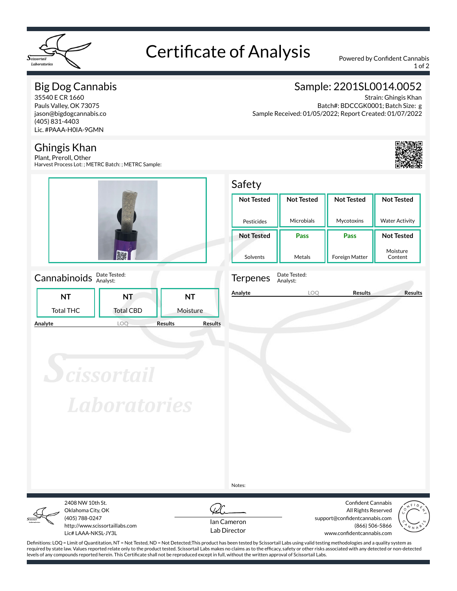

# Certificate of Analysis Powered by Confident Cannabis

1 of 2

# Big Dog Cannabis

35540 E CR 1660 Pauls Valley, OK 73075 jason@bigdogcannabis.co (405) 831-4403 Lic. #PAAA-H0IA-9GMN

### Ghingis Khan

Plant, Preroll, Other Harvest Process Lot: ; METRC Batch: ; METRC Sample:



### Cannabinoids **Date Tested:**

|         |                  | .                |                                  |
|---------|------------------|------------------|----------------------------------|
|         | NΤ               | NT               | NT                               |
|         | <b>Total THC</b> | <b>Total CBD</b> | Moisture                         |
| Analyte |                  |                  | <b>Results</b><br><b>Results</b> |

# Sample: 2201SL0014.0052

Strain: Ghingis Khan Batch#: BDCCGK0001; Batch Size: g Sample Received: 01/05/2022; Report Created: 01/07/2022



# Safety

| <b>Not Tested</b> | <b>Not Tested</b> | <b>Not Tested</b>     | <b>Not Tested</b>     |  |  |
|-------------------|-------------------|-----------------------|-----------------------|--|--|
| Pesticides        | Microbials        | Mycotoxins            | <b>Water Activity</b> |  |  |
| <b>Not Tested</b> | <b>Pass</b>       | Pass                  | <b>Not Tested</b>     |  |  |
| Solvents          | Metals            | <b>Foreign Matter</b> | Moisture<br>Content   |  |  |



Analyst:

**Analyte LOQ Results Results**

**Scissortail Laboratories** 

Notes:



Oklahoma City, OK (405) 788-0247 http://www.scissortaillabs.com Lic# LAAA-NKSL-JY3L

2408 NW 10th St.



Confident Cannabis All Rights Reserved support@confidentcannabis.com (866) 506-5866 www.confidentcannabis.com



Definitions: LOQ = Limit of Quantitation, NT = Not Tested, ND = Not Detected;This product has been tested by Scissortail Labs using valid testing methodologies and a quality system as required by state law. Values reported relate only to the product tested. Scissortail Labs makes no claims as to the efficacy, safety or other risks associated with any detected or non-detected levels of any compounds reported herein. This Certificate shall not be reproduced except in full, without the written approval of Scissortail Labs.